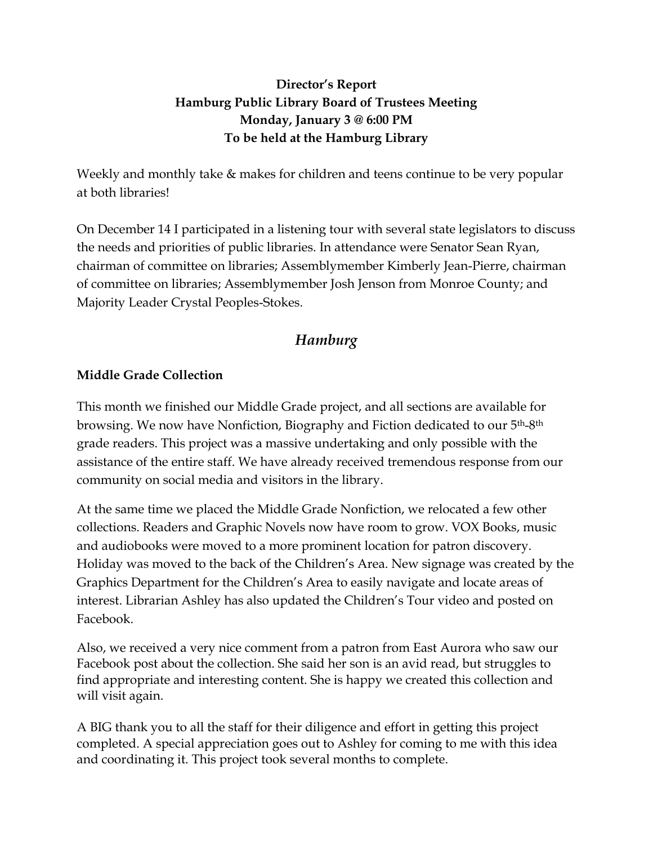## **Director's Report Hamburg Public Library Board of Trustees Meeting Monday, January 3 @ 6:00 PM To be held at the Hamburg Library**

Weekly and monthly take & makes for children and teens continue to be very popular at both libraries!

On December 14 I participated in a listening tour with several state legislators to discuss the needs and priorities of public libraries. In attendance were Senator Sean Ryan, chairman of committee on libraries; Assemblymember Kimberly Jean-Pierre, chairman of committee on libraries; Assemblymember Josh Jenson from Monroe County; and Majority Leader Crystal Peoples-Stokes.

# *Hamburg*

## **Middle Grade Collection**

This month we finished our Middle Grade project, and all sections are available for browsing. We now have Nonfiction, Biography and Fiction dedicated to our 5th-8th grade readers. This project was a massive undertaking and only possible with the assistance of the entire staff. We have already received tremendous response from our community on social media and visitors in the library.

At the same time we placed the Middle Grade Nonfiction, we relocated a few other collections. Readers and Graphic Novels now have room to grow. VOX Books, music and audiobooks were moved to a more prominent location for patron discovery. Holiday was moved to the back of the Children's Area. New signage was created by the Graphics Department for the Children's Area to easily navigate and locate areas of interest. Librarian Ashley has also updated the Children's Tour video and posted on Facebook.

Also, we received a very nice comment from a patron from East Aurora who saw our Facebook post about the collection. She said her son is an avid read, but struggles to find appropriate and interesting content. She is happy we created this collection and will visit again.

A BIG thank you to all the staff for their diligence and effort in getting this project completed. A special appreciation goes out to Ashley for coming to me with this idea and coordinating it. This project took several months to complete.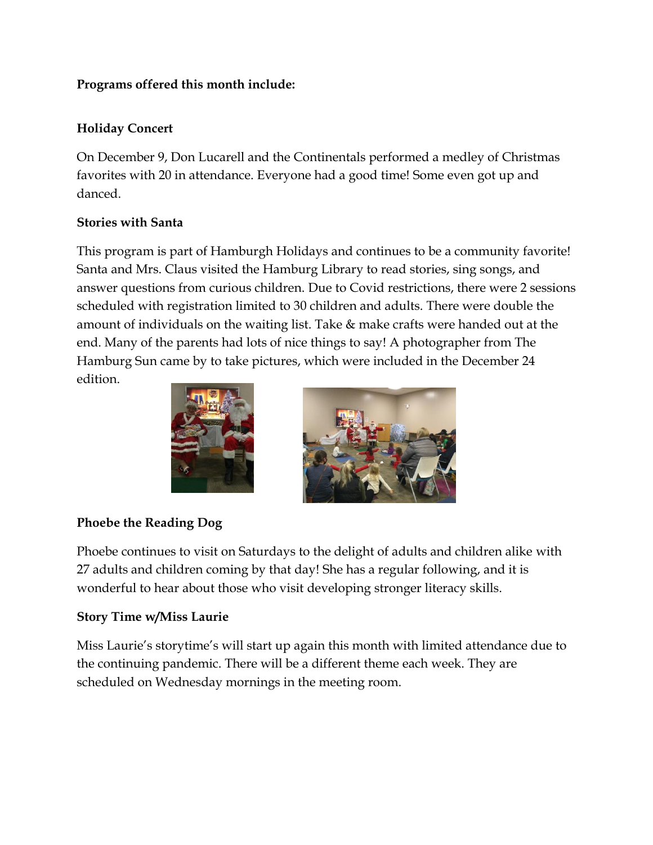## **Programs offered this month include:**

## **Holiday Concert**

On December 9, Don Lucarell and the Continentals performed a medley of Christmas favorites with 20 in attendance. Everyone had a good time! Some even got up and danced.

## **Stories with Santa**

This program is part of Hamburgh Holidays and continues to be a community favorite! Santa and Mrs. Claus visited the Hamburg Library to read stories, sing songs, and answer questions from curious children. Due to Covid restrictions, there were 2 sessions scheduled with registration limited to 30 children and adults. There were double the amount of individuals on the waiting list. Take & make crafts were handed out at the end. Many of the parents had lots of nice things to say! A photographer from The Hamburg Sun came by to take pictures, which were included in the December 24 edition.





## **Phoebe the Reading Dog**

Phoebe continues to visit on Saturdays to the delight of adults and children alike with 27 adults and children coming by that day! She has a regular following, and it is wonderful to hear about those who visit developing stronger literacy skills.

## **Story Time w/Miss Laurie**

Miss Laurie's storytime's will start up again this month with limited attendance due to the continuing pandemic. There will be a different theme each week. They are scheduled on Wednesday mornings in the meeting room.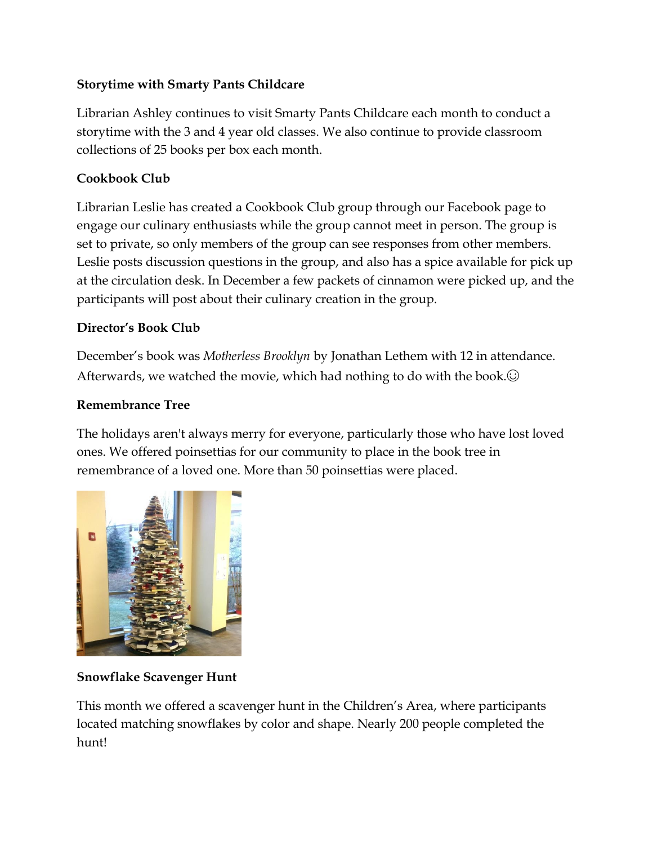## **Storytime with Smarty Pants Childcare**

Librarian Ashley continues to visit Smarty Pants Childcare each month to conduct a storytime with the 3 and 4 year old classes. We also continue to provide classroom collections of 25 books per box each month.

## **Cookbook Club**

Librarian Leslie has created a Cookbook Club group through our Facebook page to engage our culinary enthusiasts while the group cannot meet in person. The group is set to private, so only members of the group can see responses from other members. Leslie posts discussion questions in the group, and also has a spice available for pick up at the circulation desk. In December a few packets of cinnamon were picked up, and the participants will post about their culinary creation in the group.

## **Director's Book Club**

December's book was *Motherless Brooklyn* by Jonathan Lethem with 12 in attendance. Afterwards, we watched the movie, which had nothing to do with the book. $\odot$ 

## **Remembrance Tree**

The holidays aren't always merry for everyone, particularly those who have lost loved ones. We offered poinsettias for our community to place in the book tree in remembrance of a loved one. More than 50 poinsettias were placed.



## **Snowflake Scavenger Hunt**

This month we offered a scavenger hunt in the Children's Area, where participants located matching snowflakes by color and shape. Nearly 200 people completed the hunt!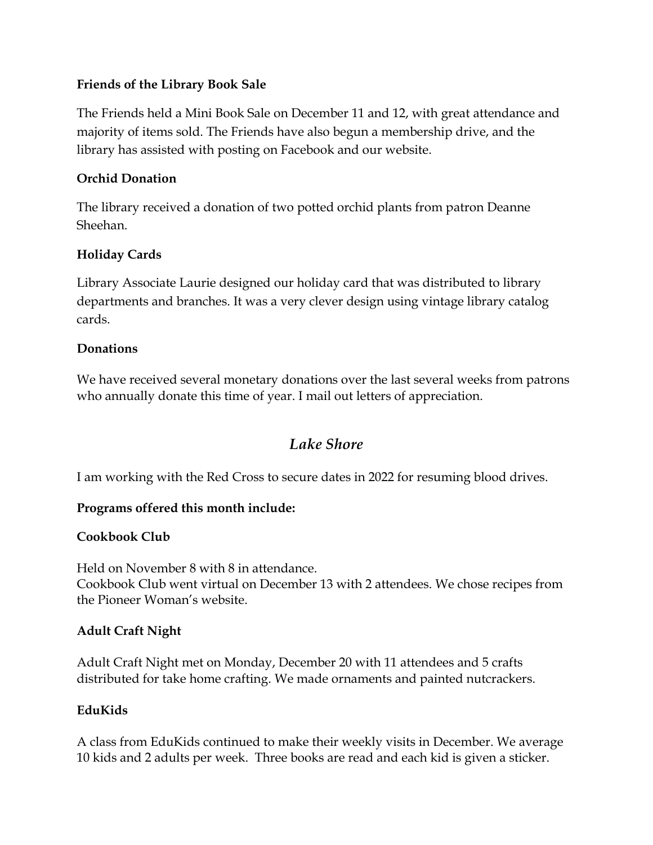## **Friends of the Library Book Sale**

The Friends held a Mini Book Sale on December 11 and 12, with great attendance and majority of items sold. The Friends have also begun a membership drive, and the library has assisted with posting on Facebook and our website.

### **Orchid Donation**

The library received a donation of two potted orchid plants from patron Deanne Sheehan.

## **Holiday Cards**

Library Associate Laurie designed our holiday card that was distributed to library departments and branches. It was a very clever design using vintage library catalog cards.

#### **Donations**

We have received several monetary donations over the last several weeks from patrons who annually donate this time of year. I mail out letters of appreciation.

## *Lake Shore*

I am working with the Red Cross to secure dates in 2022 for resuming blood drives.

## **Programs offered this month include:**

#### **Cookbook Club**

Held on November 8 with 8 in attendance. Cookbook Club went virtual on December 13 with 2 attendees. We chose recipes from the Pioneer Woman's website.

#### **Adult Craft Night**

Adult Craft Night met on Monday, December 20 with 11 attendees and 5 crafts distributed for take home crafting. We made ornaments and painted nutcrackers.

#### **EduKids**

A class from EduKids continued to make their weekly visits in December. We average 10 kids and 2 adults per week. Three books are read and each kid is given a sticker.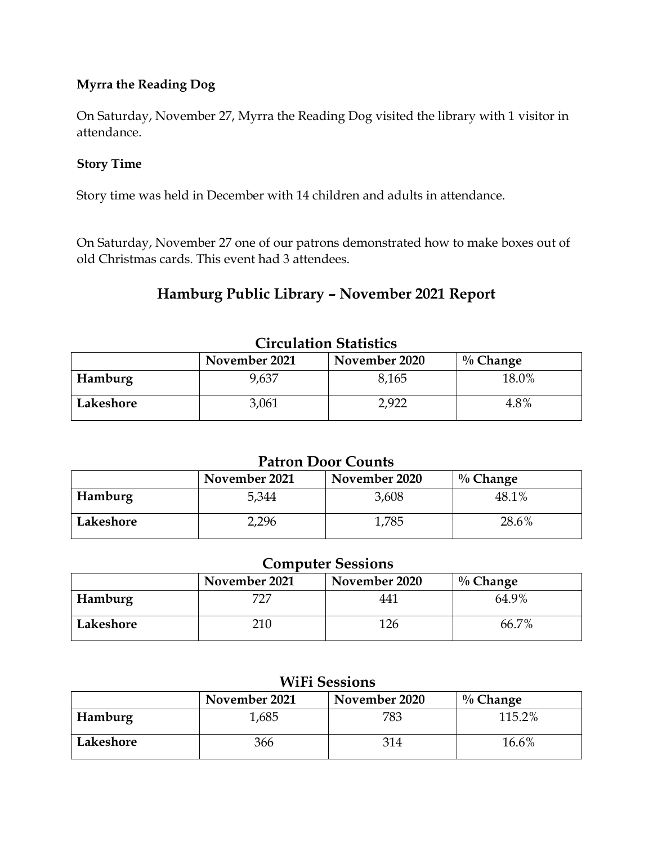## **Myrra the Reading Dog**

On Saturday, November 27, Myrra the Reading Dog visited the library with 1 visitor in attendance.

#### **Story Time**

Story time was held in December with 14 children and adults in attendance.

On Saturday, November 27 one of our patrons demonstrated how to make boxes out of old Christmas cards. This event had 3 attendees.

## **Hamburg Public Library – November 2021 Report**

| <u>Chreminidh Centrales</u> |               |               |             |  |  |  |
|-----------------------------|---------------|---------------|-------------|--|--|--|
|                             | November 2021 | November 2020 | $\%$ Change |  |  |  |
| <b>Hamburg</b>              | 9,637         | 8,165         | 18.0%       |  |  |  |
| Lakeshore                   | 3,061         | 2,922         | 4.8%        |  |  |  |

## **Circulation Statistics**

#### **Patron Door Counts**

|           | November 2021 | November 2020 | $\%$ Change |
|-----------|---------------|---------------|-------------|
| Hamburg   | 5,344         | 3,608         | 48.1%       |
| Lakeshore | 2,296         | 1,785         | 28.6%       |

## **Computer Sessions**

|           | November 2021 | November 2020 | $\%$ Change |
|-----------|---------------|---------------|-------------|
| Hamburg   | 727           | 441           | 64.9%       |
| Lakeshore | 210           | 126           | 66.7%       |

| W <sub>1</sub> F <sub>1</sub> Sessions        |       |     |        |  |  |  |  |
|-----------------------------------------------|-------|-----|--------|--|--|--|--|
| November 2021<br>November 2020<br>$\%$ Change |       |     |        |  |  |  |  |
| Hamburg                                       | 1,685 | 783 | 115.2% |  |  |  |  |
| Lakeshore                                     | 366   | 314 | 16.6%  |  |  |  |  |

## $V^{\prime}$  $V^{\prime}$  $\Gamma^{\prime}$   $\Omega$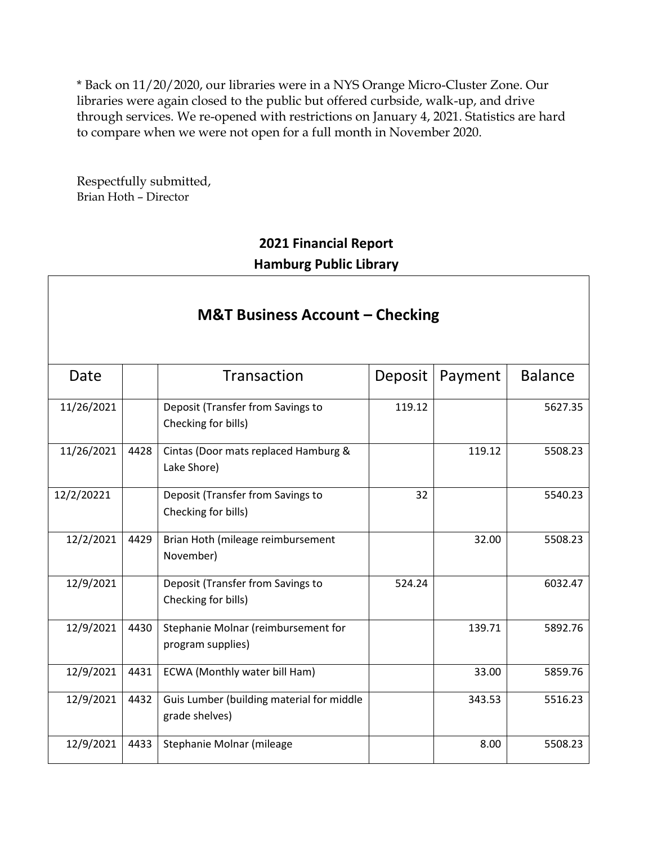\* Back on 11/20/2020, our libraries were in a NYS Orange Micro-Cluster Zone. Our libraries were again closed to the public but offered curbside, walk-up, and drive through services. We re-opened with restrictions on January 4, 2021. Statistics are hard to compare when we were not open for a full month in November 2020.

Respectfully submitted, Brian Hoth – Director

# **2021 Financial Report Hamburg Public Library**

# **M&T Business Account – Checking**

| Date       |      | Transaction                                                 | Deposit | Payment | <b>Balance</b> |
|------------|------|-------------------------------------------------------------|---------|---------|----------------|
| 11/26/2021 |      | Deposit (Transfer from Savings to<br>Checking for bills)    | 119.12  |         | 5627.35        |
| 11/26/2021 | 4428 | Cintas (Door mats replaced Hamburg &<br>Lake Shore)         |         | 119.12  | 5508.23        |
| 12/2/20221 |      | Deposit (Transfer from Savings to<br>Checking for bills)    | 32      |         | 5540.23        |
| 12/2/2021  | 4429 | Brian Hoth (mileage reimbursement<br>November)              |         | 32.00   | 5508.23        |
| 12/9/2021  |      | Deposit (Transfer from Savings to<br>Checking for bills)    | 524.24  |         | 6032.47        |
| 12/9/2021  | 4430 | Stephanie Molnar (reimbursement for<br>program supplies)    |         | 139.71  | 5892.76        |
| 12/9/2021  | 4431 | ECWA (Monthly water bill Ham)                               |         | 33.00   | 5859.76        |
| 12/9/2021  | 4432 | Guis Lumber (building material for middle<br>grade shelves) |         | 343.53  | 5516.23        |
| 12/9/2021  | 4433 | Stephanie Molnar (mileage                                   |         | 8.00    | 5508.23        |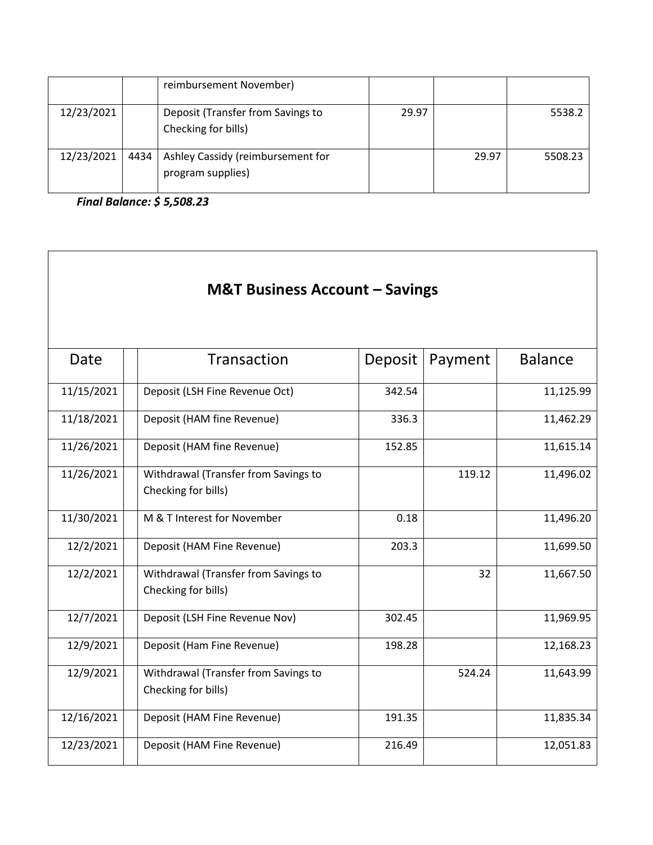|            |      | reimbursement November)                                  |       |       |         |
|------------|------|----------------------------------------------------------|-------|-------|---------|
| 12/23/2021 |      | Deposit (Transfer from Savings to<br>Checking for bills) | 29.97 |       | 5538.2  |
| 12/23/2021 | 4434 | Ashley Cassidy (reimbursement for<br>program supplies)   |       | 29.97 | 5508.23 |

*Final Balance: \$ 5,508.23*

| <b>M&amp;T Business Account - Savings</b> |                                                             |         |         |                |  |  |
|-------------------------------------------|-------------------------------------------------------------|---------|---------|----------------|--|--|
| Date                                      | Transaction                                                 | Deposit | Payment | <b>Balance</b> |  |  |
| 11/15/2021                                | Deposit (LSH Fine Revenue Oct)                              | 342.54  |         | 11,125.99      |  |  |
| 11/18/2021                                | Deposit (HAM fine Revenue)                                  | 336.3   |         | 11,462.29      |  |  |
| 11/26/2021                                | Deposit (HAM fine Revenue)                                  | 152.85  |         | 11,615.14      |  |  |
| 11/26/2021                                | Withdrawal (Transfer from Savings to<br>Checking for bills) |         | 119.12  | 11,496.02      |  |  |
| 11/30/2021                                | M & T Interest for November                                 | 0.18    |         | 11,496.20      |  |  |
| 12/2/2021                                 | Deposit (HAM Fine Revenue)                                  | 203.3   |         | 11,699.50      |  |  |
| 12/2/2021                                 | Withdrawal (Transfer from Savings to<br>Checking for bills) |         | 32      | 11,667.50      |  |  |
| 12/7/2021                                 | Deposit (LSH Fine Revenue Nov)                              | 302.45  |         | 11,969.95      |  |  |
| 12/9/2021                                 | Deposit (Ham Fine Revenue)                                  | 198.28  |         | 12,168.23      |  |  |
| 12/9/2021                                 | Withdrawal (Transfer from Savings to<br>Checking for bills) |         | 524.24  | 11,643.99      |  |  |
| 12/16/2021                                | Deposit (HAM Fine Revenue)                                  | 191.35  |         | 11,835.34      |  |  |
| 12/23/2021                                | Deposit (HAM Fine Revenue)                                  | 216.49  |         | 12,051.83      |  |  |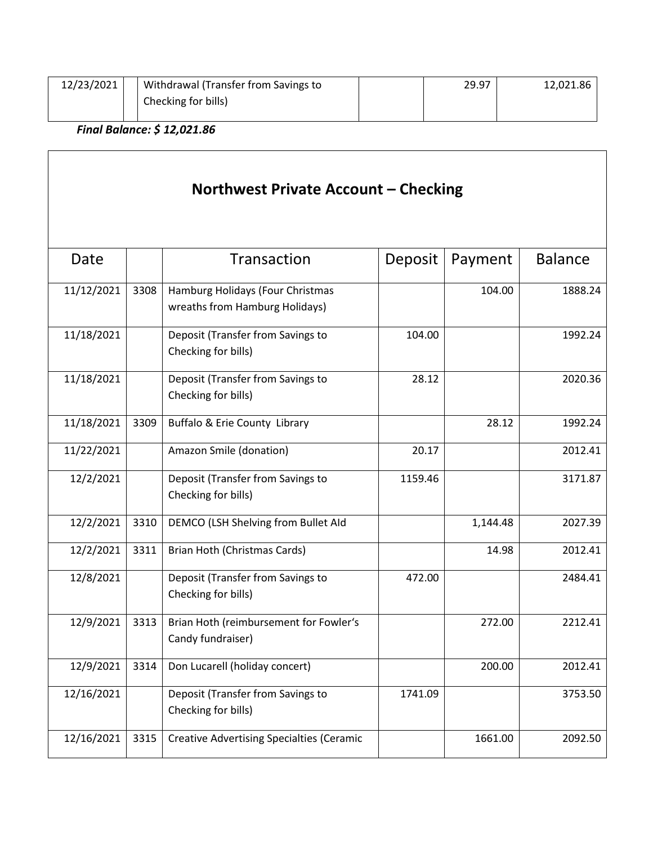| 12/23/2021 | Withdrawal (Transfer from Savings to | 29.97 | 12,021.86 |
|------------|--------------------------------------|-------|-----------|
|            | Checking for bills)                  |       |           |
|            |                                      |       |           |

*Final Balance: \$ 12,021.86*

Г

| Northwest Private Account - Checking |      |                                                                    |         |          |                |
|--------------------------------------|------|--------------------------------------------------------------------|---------|----------|----------------|
| Date                                 |      | Transaction                                                        | Deposit | Payment  | <b>Balance</b> |
| 11/12/2021                           | 3308 | Hamburg Holidays (Four Christmas<br>wreaths from Hamburg Holidays) |         | 104.00   | 1888.24        |
| 11/18/2021                           |      | Deposit (Transfer from Savings to<br>Checking for bills)           | 104.00  |          | 1992.24        |
| 11/18/2021                           |      | Deposit (Transfer from Savings to<br>Checking for bills)           | 28.12   |          | 2020.36        |
| 11/18/2021                           | 3309 | Buffalo & Erie County Library                                      |         | 28.12    | 1992.24        |
| 11/22/2021                           |      | Amazon Smile (donation)                                            | 20.17   |          | 2012.41        |
| 12/2/2021                            |      | Deposit (Transfer from Savings to<br>Checking for bills)           | 1159.46 |          | 3171.87        |
| 12/2/2021                            | 3310 | DEMCO (LSH Shelving from Bullet Ald                                |         | 1,144.48 | 2027.39        |
| 12/2/2021                            | 3311 | Brian Hoth (Christmas Cards)                                       |         | 14.98    | 2012.41        |
| 12/8/2021                            |      | Deposit (Transfer from Savings to<br>Checking for bills)           | 472.00  |          | 2484.41        |
| 12/9/2021                            | 3313 | Brian Hoth (reimbursement for Fowler's<br>Candy fundraiser)        |         | 272.00   | 2212.41        |
| 12/9/2021                            | 3314 | Don Lucarell (holiday concert)                                     |         | 200.00   | 2012.41        |
| 12/16/2021                           |      | Deposit (Transfer from Savings to<br>Checking for bills)           | 1741.09 |          | 3753.50        |
| 12/16/2021                           | 3315 | <b>Creative Advertising Specialties (Ceramic</b>                   |         | 1661.00  | 2092.50        |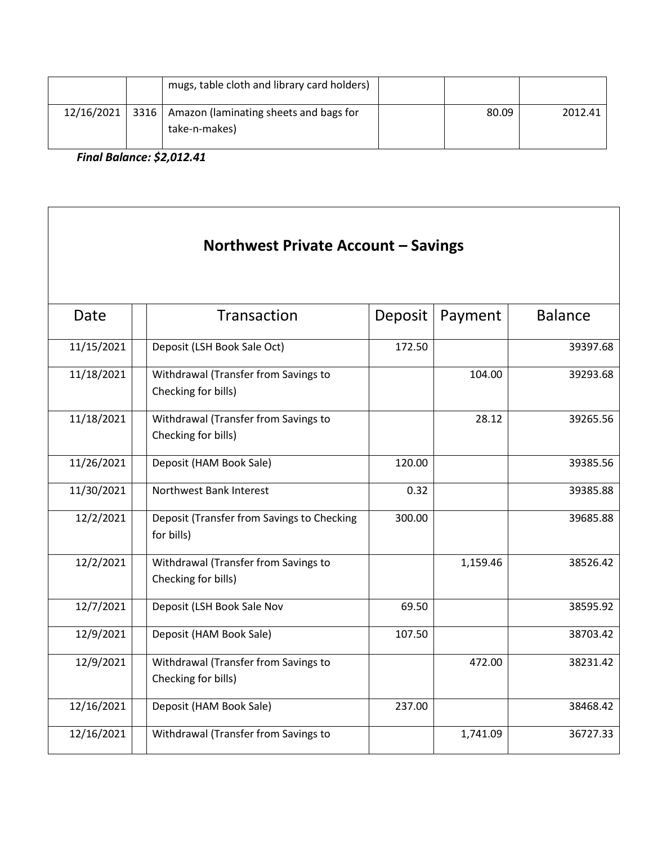|            | mugs, table cloth and library card holders)                    |       |         |
|------------|----------------------------------------------------------------|-------|---------|
| 12/16/2021 | 3316   Amazon (laminating sheets and bags for<br>take-n-makes) | 80.09 | 2012.41 |

*Final Balance: \$2,012.41*

| Northwest Private Account - Savings |                                                             |         |          |                |  |
|-------------------------------------|-------------------------------------------------------------|---------|----------|----------------|--|
| Date                                | Transaction                                                 | Deposit | Payment  | <b>Balance</b> |  |
| 11/15/2021                          | Deposit (LSH Book Sale Oct)                                 | 172.50  |          | 39397.68       |  |
| 11/18/2021                          | Withdrawal (Transfer from Savings to<br>Checking for bills) |         | 104.00   | 39293.68       |  |
| 11/18/2021                          | Withdrawal (Transfer from Savings to<br>Checking for bills) |         | 28.12    | 39265.56       |  |
| 11/26/2021                          | Deposit (HAM Book Sale)                                     | 120.00  |          | 39385.56       |  |
| 11/30/2021                          | Northwest Bank Interest                                     | 0.32    |          | 39385.88       |  |
| 12/2/2021                           | Deposit (Transfer from Savings to Checking<br>for bills)    | 300.00  |          | 39685.88       |  |
| 12/2/2021                           | Withdrawal (Transfer from Savings to<br>Checking for bills) |         | 1,159.46 | 38526.42       |  |
| 12/7/2021                           | Deposit (LSH Book Sale Nov                                  | 69.50   |          | 38595.92       |  |
| 12/9/2021                           | Deposit (HAM Book Sale)                                     | 107.50  |          | 38703.42       |  |
| 12/9/2021                           | Withdrawal (Transfer from Savings to<br>Checking for bills) |         | 472.00   | 38231.42       |  |
| 12/16/2021                          | Deposit (HAM Book Sale)                                     | 237.00  |          | 38468.42       |  |
| 12/16/2021                          | Withdrawal (Transfer from Savings to                        |         | 1,741.09 | 36727.33       |  |